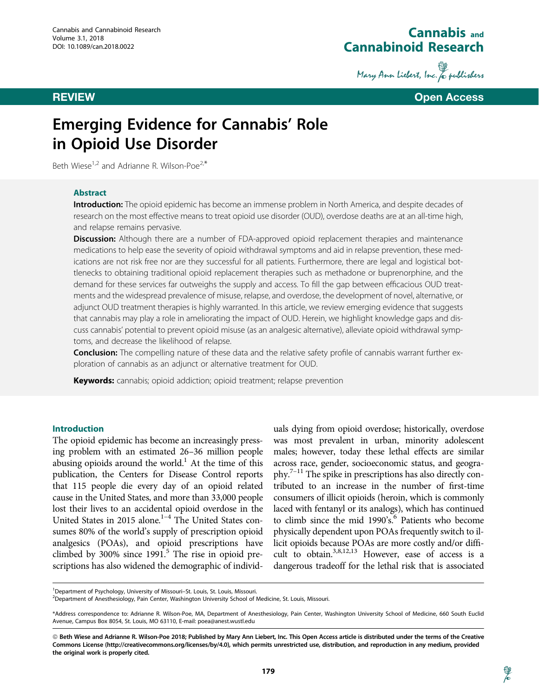

Mary Ann Liebert, Inc. & publishers

**REVIEW CONTROL CONTROL CONTROL CONTROL CONTROL CONTROL CONTROL CONTROL CONTROL** 

# Emerging Evidence for Cannabis' Role in Opioid Use Disorder

Beth Wiese<sup>1,2</sup> and Adrianne R. Wilson-Poe<sup>2,\*</sup>

### Abstract

Introduction: The opioid epidemic has become an immense problem in North America, and despite decades of research on the most effective means to treat opioid use disorder (OUD), overdose deaths are at an all-time high, and relapse remains pervasive.

**Discussion:** Although there are a number of FDA-approved opioid replacement therapies and maintenance medications to help ease the severity of opioid withdrawal symptoms and aid in relapse prevention, these medications are not risk free nor are they successful for all patients. Furthermore, there are legal and logistical bottlenecks to obtaining traditional opioid replacement therapies such as methadone or buprenorphine, and the demand for these services far outweighs the supply and access. To fill the gap between efficacious OUD treatments and the widespread prevalence of misuse, relapse, and overdose, the development of novel, alternative, or adjunct OUD treatment therapies is highly warranted. In this article, we review emerging evidence that suggests that cannabis may play a role in ameliorating the impact of OUD. Herein, we highlight knowledge gaps and discuss cannabis' potential to prevent opioid misuse (as an analgesic alternative), alleviate opioid withdrawal symptoms, and decrease the likelihood of relapse.

Conclusion: The compelling nature of these data and the relative safety profile of cannabis warrant further exploration of cannabis as an adjunct or alternative treatment for OUD.

Keywords: cannabis; opioid addiction; opioid treatment; relapse prevention

#### Introduction

The opioid epidemic has become an increasingly pressing problem with an estimated 26–36 million people abusing opioids around the world.<sup>1</sup> At the time of this publication, the Centers for Disease Control reports that 115 people die every day of an opioid related cause in the United States, and more than 33,000 people lost their lives to an accidental opioid overdose in the United States in 2015 alone. $1-4$  The United States consumes 80% of the world's supply of prescription opioid analgesics (POAs), and opioid prescriptions have climbed by 300% since  $1991<sup>5</sup>$  The rise in opioid prescriptions has also widened the demographic of individ-

uals dying from opioid overdose; historically, overdose was most prevalent in urban, minority adolescent males; however, today these lethal effects are similar across race, gender, socioeconomic status, and geography.7–11 The spike in prescriptions has also directly contributed to an increase in the number of first-time consumers of illicit opioids (heroin, which is commonly laced with fentanyl or its analogs), which has continued to climb since the mid 1990's.<sup>6</sup> Patients who become physically dependent upon POAs frequently switch to illicit opioids because POAs are more costly and/or difficult to obtain.<sup>3,8,12,13</sup> However, ease of access is a dangerous tradeoff for the lethal risk that is associated

字

<sup>1</sup>Department of Psychology, University of Missouri-St. Louis, St. Louis, Missouri.

<sup>2</sup> Department of Anesthesiology, Pain Center, Washington University School of Medicine, St. Louis, Missouri.

<sup>\*</sup>Address correspondence to: Adrianne R. Wilson-Poe, MA, Department of Anesthesiology, Pain Center, Washington University School of Medicine, 660 South Euclid Avenue, Campus Box 8054, St. Louis, MO 63110, E-mail: poea@anest.wustl.edu

ª Beth Wiese and Adrianne R. Wilson-Poe 2018; Published by Mary Ann Liebert, Inc. This Open Access article is distributed under the terms of the Creative Commons License [\(http://creativecommons.org/licenses/by/4.0](http://creativecommons.org/licenses/by/4.0)), which permits unrestricted use, distribution, and reproduction in any medium, provided the original work is properly cited.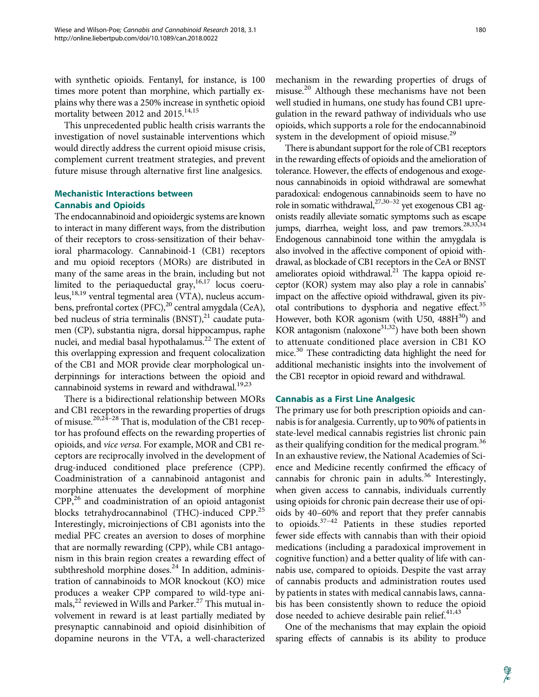with synthetic opioids. Fentanyl, for instance, is 100 times more potent than morphine, which partially explains why there was a 250% increase in synthetic opioid mortality between 2012 and 2015.<sup>14,15</sup>

This unprecedented public health crisis warrants the investigation of novel sustainable interventions which would directly address the current opioid misuse crisis, complement current treatment strategies, and prevent future misuse through alternative first line analgesics.

# Mechanistic Interactions between Cannabis and Opioids

The endocannabinoid and opioidergic systems are known to interact in many different ways, from the distribution of their receptors to cross-sensitization of their behavioral pharmacology. Cannabinoid-1 (CB1) receptors and mu opioid receptors (MORs) are distributed in many of the same areas in the brain, including but not limited to the periaqueductal gray,  $16,17$  locus coeruleus,  $18,19$  ventral tegmental area (VTA), nucleus accumbens, prefrontal cortex (PFC),<sup>20</sup> central amygdala (CeA), bed nucleus of stria terminalis  $(BNST),<sup>21</sup>$  caudate putamen (CP), substantia nigra, dorsal hippocampus, raphe nuclei, and medial basal hypothalamus.<sup>22</sup> The extent of this overlapping expression and frequent colocalization of the CB1 and MOR provide clear morphological underpinnings for interactions between the opioid and cannabinoid systems in reward and withdrawal.<sup>19,23</sup>

There is a bidirectional relationship between MORs and CB1 receptors in the rewarding properties of drugs of misuse.<sup>20,24-28</sup> That is, modulation of the CB1 receptor has profound effects on the rewarding properties of opioids, and vice versa. For example, MOR and CB1 receptors are reciprocally involved in the development of drug-induced conditioned place preference (CPP). Coadministration of a cannabinoid antagonist and morphine attenuates the development of morphine  $CPP<sub>1</sub><sup>26</sup>$  and coadministration of an opioid antagonist blocks tetrahydrocannabinol (THC)-induced CPP.<sup>25</sup> Interestingly, microinjections of CB1 agonists into the medial PFC creates an aversion to doses of morphine that are normally rewarding (CPP), while CB1 antagonism in this brain region creates a rewarding effect of subthreshold morphine doses. $^{24}$  In addition, administration of cannabinoids to MOR knockout (KO) mice produces a weaker CPP compared to wild-type animals, $^{22}$  reviewed in Wills and Parker. $^{27}$  This mutual involvement in reward is at least partially mediated by presynaptic cannabinoid and opioid disinhibition of dopamine neurons in the VTA, a well-characterized

180

mechanism in the rewarding properties of drugs of misuse.<sup>20</sup> Although these mechanisms have not been well studied in humans, one study has found CB1 upregulation in the reward pathway of individuals who use opioids, which supports a role for the endocannabinoid system in the development of opioid misuse.<sup>29</sup>

There is abundant support for the role of CB1 receptors in the rewarding effects of opioids and the amelioration of tolerance. However, the effects of endogenous and exogenous cannabinoids in opioid withdrawal are somewhat paradoxical: endogenous cannabinoids seem to have no role in somatic withdrawal,  $2^{7,30-32}$  yet exogenous CB1 agonists readily alleviate somatic symptoms such as escape jumps, diarrhea, weight loss, and paw tremors.<sup>28,33,34</sup> Endogenous cannabinoid tone within the amygdala is also involved in the affective component of opioid withdrawal, as blockade of CB1 receptors in the CeA or BNST ameliorates opioid withdrawal. $^{21}$  The kappa opioid receptor (KOR) system may also play a role in cannabis' impact on the affective opioid withdrawal, given its pivotal contributions to dysphoria and negative effect.<sup>35</sup> However, both KOR agonism (with U50,  $488H^{30}$ ) and KOR antagonism (naloxone $31,32$ ) have both been shown to attenuate conditioned place aversion in CB1 KO mice.<sup>30</sup> These contradicting data highlight the need for additional mechanistic insights into the involvement of the CB1 receptor in opioid reward and withdrawal.

# Cannabis as a First Line Analgesic

The primary use for both prescription opioids and cannabis is for analgesia. Currently, up to 90% of patients in state-level medical cannabis registries list chronic pain as their qualifying condition for the medical program.<sup>36</sup> In an exhaustive review, the National Academies of Science and Medicine recently confirmed the efficacy of cannabis for chronic pain in adults. $36$  Interestingly, when given access to cannabis, individuals currently using opioids for chronic pain decrease their use of opioids by 40–60% and report that they prefer cannabis to opioids.37–42 Patients in these studies reported fewer side effects with cannabis than with their opioid medications (including a paradoxical improvement in cognitive function) and a better quality of life with cannabis use, compared to opioids. Despite the vast array of cannabis products and administration routes used by patients in states with medical cannabis laws, cannabis has been consistently shown to reduce the opioid dose needed to achieve desirable pain relief. $41,43$ 

One of the mechanisms that may explain the opioid sparing effects of cannabis is its ability to produce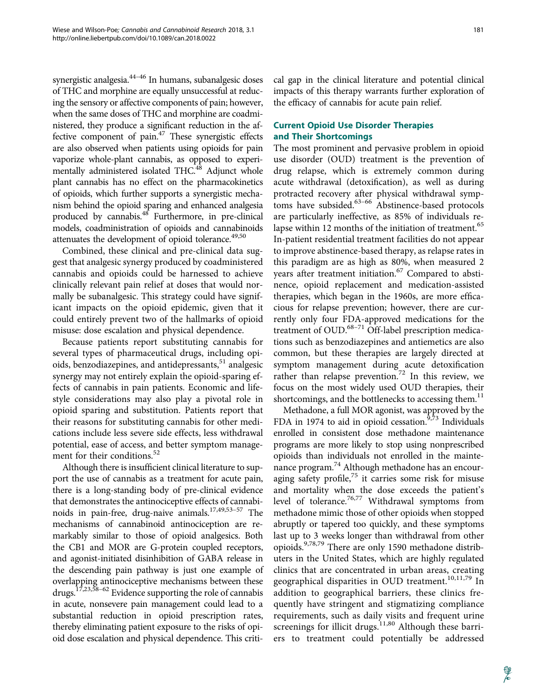synergistic analgesia.<sup>44-46</sup> In humans, subanalgesic doses of THC and morphine are equally unsuccessful at reducing the sensory or affective components of pain; however, when the same doses of THC and morphine are coadministered, they produce a significant reduction in the affective component of pain. $47$  These synergistic effects are also observed when patients using opioids for pain vaporize whole-plant cannabis, as opposed to experimentally administered isolated THC.<sup>48</sup> Adjunct whole plant cannabis has no effect on the pharmacokinetics of opioids, which further supports a synergistic mechanism behind the opioid sparing and enhanced analgesia produced by cannabis.<sup>48</sup> Furthermore, in pre-clinical models, coadministration of opioids and cannabinoids attenuates the development of opioid tolerance.<sup>49,50</sup>

Combined, these clinical and pre-clinical data suggest that analgesic synergy produced by coadministered cannabis and opioids could be harnessed to achieve clinically relevant pain relief at doses that would normally be subanalgesic. This strategy could have significant impacts on the opioid epidemic, given that it could entirely prevent two of the hallmarks of opioid misuse: dose escalation and physical dependence.

Because patients report substituting cannabis for several types of pharmaceutical drugs, including opioids, benzodiazepines, and antidepressants,<sup>51</sup> analgesic synergy may not entirely explain the opioid-sparing effects of cannabis in pain patients. Economic and lifestyle considerations may also play a pivotal role in opioid sparing and substitution. Patients report that their reasons for substituting cannabis for other medications include less severe side effects, less withdrawal potential, ease of access, and better symptom management for their conditions.<sup>52</sup>

Although there is insufficient clinical literature to support the use of cannabis as a treatment for acute pain, there is a long-standing body of pre-clinical evidence that demonstrates the antinociceptive effects of cannabinoids in pain-free, drug-naive animals.17,49,53–57 The mechanisms of cannabinoid antinociception are remarkably similar to those of opioid analgesics. Both the CB1 and MOR are G-protein coupled receptors, and agonist-initiated disinhibition of GABA release in the descending pain pathway is just one example of overlapping antinociceptive mechanisms between these drugs.17,23,58–62 Evidence supporting the role of cannabis in acute, nonsevere pain management could lead to a substantial reduction in opioid prescription rates, thereby eliminating patient exposure to the risks of opioid dose escalation and physical dependence. This critical gap in the clinical literature and potential clinical impacts of this therapy warrants further exploration of the efficacy of cannabis for acute pain relief.

# Current Opioid Use Disorder Therapies and Their Shortcomings

The most prominent and pervasive problem in opioid use disorder (OUD) treatment is the prevention of drug relapse, which is extremely common during acute withdrawal (detoxification), as well as during protracted recovery after physical withdrawal symptoms have subsided. $63-66$  Abstinence-based protocols are particularly ineffective, as 85% of individuals relapse within 12 months of the initiation of treatment.<sup>65</sup> In-patient residential treatment facilities do not appear to improve abstinence-based therapy, as relapse rates in this paradigm are as high as 80%, when measured 2 years after treatment initiation.<sup>67</sup> Compared to abstinence, opioid replacement and medication-assisted therapies, which began in the 1960s, are more efficacious for relapse prevention; however, there are currently only four FDA-approved medications for the treatment of OUD.<sup>68-71</sup> Off-label prescription medications such as benzodiazepines and antiemetics are also common, but these therapies are largely directed at symptom management during acute detoxification rather than relapse prevention.<sup>72</sup> In this review, we focus on the most widely used OUD therapies, their shortcomings, and the bottlenecks to accessing them.<sup>11</sup>

Methadone, a full MOR agonist, was approved by the FDA in 1974 to aid in opioid cessation.<sup>9,73</sup> Individuals enrolled in consistent dose methadone maintenance programs are more likely to stop using nonprescribed opioids than individuals not enrolled in the maintenance program.<sup>74</sup> Although methadone has an encouraging safety profile,<sup>75</sup> it carries some risk for misuse and mortality when the dose exceeds the patient's level of tolerance.<sup>76,77</sup> Withdrawal symptoms from methadone mimic those of other opioids when stopped abruptly or tapered too quickly, and these symptoms last up to 3 weeks longer than withdrawal from other opioids.9,78,79 There are only 1590 methadone distributers in the United States, which are highly regulated clinics that are concentrated in urban areas, creating geographical disparities in OUD treatment.<sup>10,11,79</sup> In addition to geographical barriers, these clinics frequently have stringent and stigmatizing compliance requirements, such as daily visits and frequent urine screenings for illicit drugs.<sup>11,80</sup> Although these barriers to treatment could potentially be addressed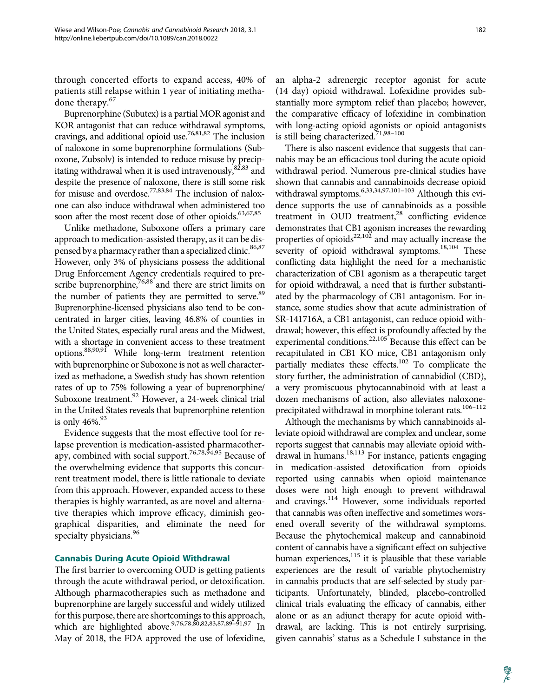through concerted efforts to expand access, 40% of patients still relapse within 1 year of initiating methadone therapy.<sup>67</sup>

Buprenorphine (Subutex) is a partial MOR agonist and KOR antagonist that can reduce withdrawal symptoms, cravings, and additional opioid use.76,81,82 The inclusion of naloxone in some buprenorphine formulations (Suboxone, Zubsolv) is intended to reduce misuse by precipitating withdrawal when it is used intravenously, $82,83$  and despite the presence of naloxone, there is still some risk for misuse and overdose.<sup>77,83,84</sup> The inclusion of naloxone can also induce withdrawal when administered too soon after the most recent dose of other opioids.<sup>63,67,85</sup>

Unlike methadone, Suboxone offers a primary care approach to medication-assisted therapy, as it can be dispensed by a pharmacy rather than a specialized clinic.<sup>86,87</sup> However, only 3% of physicians possess the additional Drug Enforcement Agency credentials required to prescribe buprenorphine, $76,88$  and there are strict limits on the number of patients they are permitted to serve.<sup>89</sup> Buprenorphine-licensed physicians also tend to be concentrated in larger cities, leaving 46.8% of counties in the United States, especially rural areas and the Midwest, with a shortage in convenient access to these treatment options.88,90,91 While long-term treatment retention with buprenorphine or Suboxone is not as well characterized as methadone, a Swedish study has shown retention rates of up to 75% following a year of buprenorphine/ Suboxone treatment.<sup>92</sup> However, a 24-week clinical trial in the United States reveals that buprenorphine retention is only  $46\%$ <sup>93</sup>

Evidence suggests that the most effective tool for relapse prevention is medication-assisted pharmacotherapy, combined with social support.<sup>76,78,94,95</sup> Because of the overwhelming evidence that supports this concurrent treatment model, there is little rationale to deviate from this approach. However, expanded access to these therapies is highly warranted, as are novel and alternative therapies which improve efficacy, diminish geographical disparities, and eliminate the need for specialty physicians.<sup>96</sup>

#### Cannabis During Acute Opioid Withdrawal

The first barrier to overcoming OUD is getting patients through the acute withdrawal period, or detoxification. Although pharmacotherapies such as methadone and buprenorphine are largely successful and widely utilized for this purpose, there are shortcomings to this approach, which are highlighted above.<sup>9,76,78,80,82,83,87,89–91,97</sup> In May of 2018, the FDA approved the use of lofexidine, an alpha-2 adrenergic receptor agonist for acute (14 day) opioid withdrawal. Lofexidine provides substantially more symptom relief than placebo; however, the comparative efficacy of lofexidine in combination with long-acting opioid agonists or opioid antagonists is still being characterized.<sup>71,98-100</sup>

There is also nascent evidence that suggests that cannabis may be an efficacious tool during the acute opioid withdrawal period. Numerous pre-clinical studies have shown that cannabis and cannabinoids decrease opioid withdrawal symptoms.<sup>6,33,34,97,101-103</sup> Although this evidence supports the use of cannabinoids as a possible treatment in OUD treatment, $^{28}$  conflicting evidence demonstrates that CB1 agonism increases the rewarding properties of opioids $22,102$  and may actually increase the severity of opioid withdrawal symptoms.<sup>18,104</sup> These conflicting data highlight the need for a mechanistic characterization of CB1 agonism as a therapeutic target for opioid withdrawal, a need that is further substantiated by the pharmacology of CB1 antagonism. For instance, some studies show that acute administration of SR-141716A, a CB1 antagonist, can reduce opioid withdrawal; however, this effect is profoundly affected by the experimental conditions.<sup>22,105</sup> Because this effect can be recapitulated in CB1 KO mice, CB1 antagonism only partially mediates these effects.<sup>102</sup> To complicate the story further, the administration of cannabidiol (CBD), a very promiscuous phytocannabinoid with at least a dozen mechanisms of action, also alleviates naloxoneprecipitated withdrawal in morphine tolerant rats.<sup>106-112</sup>

Although the mechanisms by which cannabinoids alleviate opioid withdrawal are complex and unclear, some reports suggest that cannabis may alleviate opioid withdrawal in humans.<sup>18,113</sup> For instance, patients engaging in medication-assisted detoxification from opioids reported using cannabis when opioid maintenance doses were not high enough to prevent withdrawal and cravings. $114$  However, some individuals reported that cannabis was often ineffective and sometimes worsened overall severity of the withdrawal symptoms. Because the phytochemical makeup and cannabinoid content of cannabis have a significant effect on subjective human experiences, $115$  it is plausible that these variable experiences are the result of variable phytochemistry in cannabis products that are self-selected by study participants. Unfortunately, blinded, placebo-controlled clinical trials evaluating the efficacy of cannabis, either alone or as an adjunct therapy for acute opioid withdrawal, are lacking. This is not entirely surprising, given cannabis' status as a Schedule I substance in the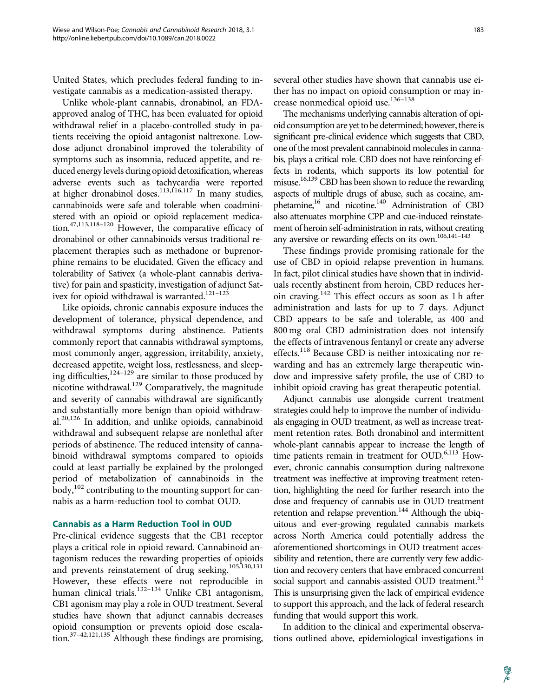United States, which precludes federal funding to investigate cannabis as a medication-assisted therapy.

Unlike whole-plant cannabis, dronabinol, an FDAapproved analog of THC, has been evaluated for opioid withdrawal relief in a placebo-controlled study in patients receiving the opioid antagonist naltrexone. Lowdose adjunct dronabinol improved the tolerability of symptoms such as insomnia, reduced appetite, and reduced energy levels during opioid detoxification, whereas adverse events such as tachycardia were reported at higher dronabinol doses.<sup>113,116,117</sup> In many studies, cannabinoids were safe and tolerable when coadministered with an opioid or opioid replacement medication.<sup>47,113,118–120</sup> However, the comparative efficacy of dronabinol or other cannabinoids versus traditional replacement therapies such as methadone or buprenorphine remains to be elucidated. Given the efficacy and tolerability of Sativex (a whole-plant cannabis derivative) for pain and spasticity, investigation of adjunct Sativex for opioid withdrawal is warranted.<sup>121-123</sup>

Like opioids, chronic cannabis exposure induces the development of tolerance, physical dependence, and withdrawal symptoms during abstinence. Patients commonly report that cannabis withdrawal symptoms, most commonly anger, aggression, irritability, anxiety, decreased appetite, weight loss, restlessness, and sleeping difficulties,<sup>124–129</sup> are similar to those produced by nicotine withdrawal.<sup>129</sup> Comparatively, the magnitude and severity of cannabis withdrawal are significantly and substantially more benign than opioid withdrawal.<sup>20,126</sup> In addition, and unlike opioids, cannabinoid withdrawal and subsequent relapse are nonlethal after periods of abstinence. The reduced intensity of cannabinoid withdrawal symptoms compared to opioids could at least partially be explained by the prolonged period of metabolization of cannabinoids in the  $body, <sup>102</sup>$  contributing to the mounting support for cannabis as a harm-reduction tool to combat OUD.

# Cannabis as a Harm Reduction Tool in OUD

Pre-clinical evidence suggests that the CB1 receptor plays a critical role in opioid reward. Cannabinoid antagonism reduces the rewarding properties of opioids and prevents reinstatement of drug seeking.<sup>105,130,131</sup> However, these effects were not reproducible in human clinical trials.<sup>132-134</sup> Unlike CB1 antagonism, CB1 agonism may play a role in OUD treatment. Several studies have shown that adjunct cannabis decreases opioid consumption or prevents opioid dose escalation.<sup>37–42,121,135</sup> Although these findings are promising,

several other studies have shown that cannabis use either has no impact on opioid consumption or may increase nonmedical opioid use.<sup>136-138</sup>

The mechanisms underlying cannabis alteration of opioid consumption are yet to be determined; however, there is significant pre-clinical evidence which suggests that CBD, one of the most prevalent cannabinoid molecules in cannabis, plays a critical role. CBD does not have reinforcing effects in rodents, which supports its low potential for misuse.<sup>16,139</sup> CBD has been shown to reduce the rewarding aspects of multiple drugs of abuse, such as cocaine, amphetamine,<sup>16</sup> and nicotine.<sup>140</sup> Administration of CBD also attenuates morphine CPP and cue-induced reinstatement of heroin self-administration in rats, without creating any aversive or rewarding effects on its own.<sup>106,141-143</sup>

These findings provide promising rationale for the use of CBD in opioid relapse prevention in humans. In fact, pilot clinical studies have shown that in individuals recently abstinent from heroin, CBD reduces heroin craving.<sup>142</sup> This effect occurs as soon as 1 h after administration and lasts for up to 7 days. Adjunct CBD appears to be safe and tolerable, as 400 and 800 mg oral CBD administration does not intensify the effects of intravenous fentanyl or create any adverse effects.<sup>118</sup> Because CBD is neither intoxicating nor rewarding and has an extremely large therapeutic window and impressive safety profile, the use of CBD to inhibit opioid craving has great therapeutic potential.

Adjunct cannabis use alongside current treatment strategies could help to improve the number of individuals engaging in OUD treatment, as well as increase treatment retention rates. Both dronabinol and intermittent whole-plant cannabis appear to increase the length of time patients remain in treatment for  $\text{OUD.}^{6,113}$  However, chronic cannabis consumption during naltrexone treatment was ineffective at improving treatment retention, highlighting the need for further research into the dose and frequency of cannabis use in OUD treatment retention and relapse prevention.<sup>144</sup> Although the ubiquitous and ever-growing regulated cannabis markets across North America could potentially address the aforementioned shortcomings in OUD treatment accessibility and retention, there are currently very few addiction and recovery centers that have embraced concurrent social support and cannabis-assisted OUD treatment.<sup>51</sup> This is unsurprising given the lack of empirical evidence to support this approach, and the lack of federal research funding that would support this work.

In addition to the clinical and experimental observations outlined above, epidemiological investigations in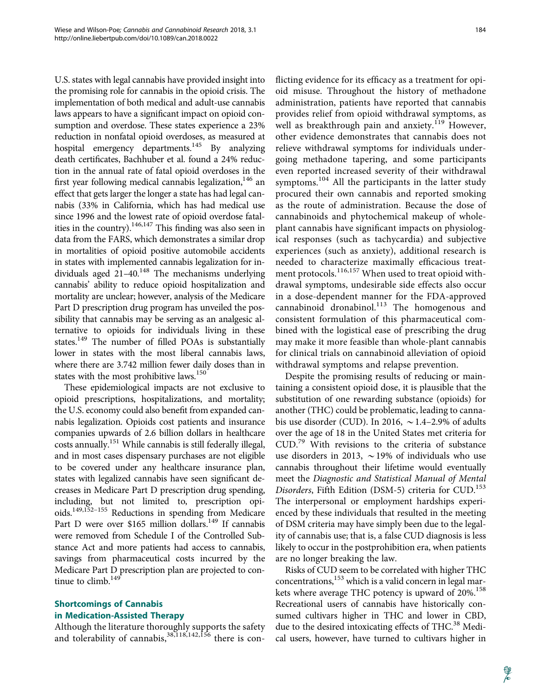U.S. states with legal cannabis have provided insight into the promising role for cannabis in the opioid crisis. The implementation of both medical and adult-use cannabis laws appears to have a significant impact on opioid consumption and overdose. These states experience a 23% reduction in nonfatal opioid overdoses, as measured at hospital emergency departments.<sup>145</sup> By analyzing death certificates, Bachhuber et al. found a 24% reduction in the annual rate of fatal opioid overdoses in the first year following medical cannabis legalization,<sup>146</sup> an effect that gets larger the longer a state has had legal cannabis (33% in California, which has had medical use since 1996 and the lowest rate of opioid overdose fatalities in the country).<sup>146,147</sup> This finding was also seen in data from the FARS, which demonstrates a similar drop in mortalities of opioid positive automobile accidents in states with implemented cannabis legalization for individuals aged  $21-40$ .<sup>148</sup> The mechanisms underlying cannabis' ability to reduce opioid hospitalization and mortality are unclear; however, analysis of the Medicare Part D prescription drug program has unveiled the possibility that cannabis may be serving as an analgesic alternative to opioids for individuals living in these states.<sup>149</sup> The number of filled POAs is substantially lower in states with the most liberal cannabis laws, where there are 3.742 million fewer daily doses than in states with the most prohibitive laws.<sup>150</sup>

These epidemiological impacts are not exclusive to opioid prescriptions, hospitalizations, and mortality; the U.S. economy could also benefit from expanded cannabis legalization. Opioids cost patients and insurance companies upwards of 2.6 billion dollars in healthcare costs annually.<sup>151</sup> While cannabis is still federally illegal, and in most cases dispensary purchases are not eligible to be covered under any healthcare insurance plan, states with legalized cannabis have seen significant decreases in Medicare Part D prescription drug spending, including, but not limited to, prescription opioids.149,152–155 Reductions in spending from Medicare Part D were over \$165 million dollars.<sup>149</sup> If cannabis were removed from Schedule I of the Controlled Substance Act and more patients had access to cannabis, savings from pharmaceutical costs incurred by the Medicare Part D prescription plan are projected to continue to climb. $149$ 

# Shortcomings of Cannabis in Medication-Assisted Therapy

Although the literature thoroughly supports the safety and tolerability of cannabis,  $38,118,142,156$  there is conflicting evidence for its efficacy as a treatment for opioid misuse. Throughout the history of methadone administration, patients have reported that cannabis provides relief from opioid withdrawal symptoms, as well as breakthrough pain and anxiety.<sup>119</sup> However, other evidence demonstrates that cannabis does not relieve withdrawal symptoms for individuals undergoing methadone tapering, and some participants even reported increased severity of their withdrawal symptoms. $^{104}$  All the participants in the latter study procured their own cannabis and reported smoking as the route of administration. Because the dose of cannabinoids and phytochemical makeup of wholeplant cannabis have significant impacts on physiological responses (such as tachycardia) and subjective experiences (such as anxiety), additional research is needed to characterize maximally efficacious treatment protocols.<sup>116,157</sup> When used to treat opioid withdrawal symptoms, undesirable side effects also occur in a dose-dependent manner for the FDA-approved cannabinoid dronabinol. $^{113}$  The homogenous and consistent formulation of this pharmaceutical combined with the logistical ease of prescribing the drug may make it more feasible than whole-plant cannabis for clinical trials on cannabinoid alleviation of opioid withdrawal symptoms and relapse prevention.

Despite the promising results of reducing or maintaining a consistent opioid dose, it is plausible that the substitution of one rewarding substance (opioids) for another (THC) could be problematic, leading to cannabis use disorder (CUD). In 2016,  $\sim$  1.4–2.9% of adults over the age of 18 in the United States met criteria for CUD.<sup>79</sup> With revisions to the criteria of substance use disorders in 2013,  $\sim$  19% of individuals who use cannabis throughout their lifetime would eventually meet the Diagnostic and Statistical Manual of Mental Disorders, Fifth Edition (DSM-5) criteria for  $\text{CUD}.^{153}$ The interpersonal or employment hardships experienced by these individuals that resulted in the meeting of DSM criteria may have simply been due to the legality of cannabis use; that is, a false CUD diagnosis is less likely to occur in the postprohibition era, when patients are no longer breaking the law.

Risks of CUD seem to be correlated with higher THC concentrations,<sup>153</sup> which is a valid concern in legal markets where average THC potency is upward of 20%.<sup>158</sup> Recreational users of cannabis have historically consumed cultivars higher in THC and lower in CBD, due to the desired intoxicating effects of THC.<sup>38</sup> Medical users, however, have turned to cultivars higher in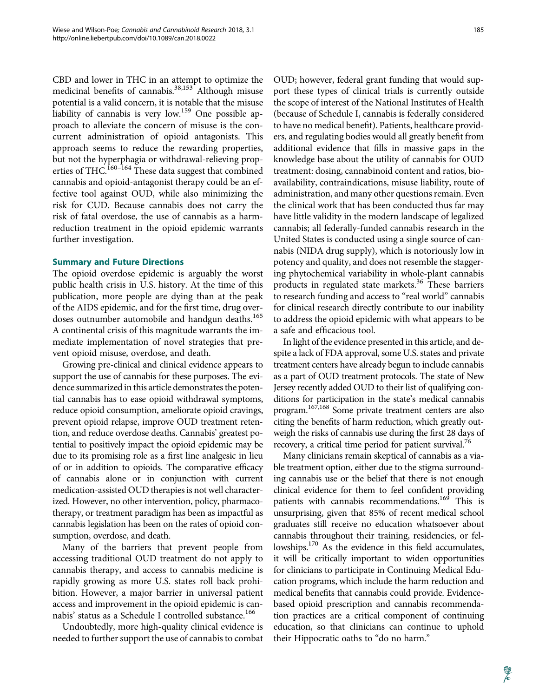CBD and lower in THC in an attempt to optimize the medicinal benefits of cannabis.<sup>38,153</sup> Although misuse potential is a valid concern, it is notable that the misuse liability of cannabis is very low.<sup>159</sup> One possible approach to alleviate the concern of misuse is the concurrent administration of opioid antagonists. This approach seems to reduce the rewarding properties, but not the hyperphagia or withdrawal-relieving properties of THC.<sup>160–164</sup> These data suggest that combined cannabis and opioid-antagonist therapy could be an effective tool against OUD, while also minimizing the risk for CUD. Because cannabis does not carry the risk of fatal overdose, the use of cannabis as a harmreduction treatment in the opioid epidemic warrants further investigation.

#### Summary and Future Directions

The opioid overdose epidemic is arguably the worst public health crisis in U.S. history. At the time of this publication, more people are dying than at the peak of the AIDS epidemic, and for the first time, drug overdoses outnumber automobile and handgun deaths.<sup>165</sup> A continental crisis of this magnitude warrants the immediate implementation of novel strategies that prevent opioid misuse, overdose, and death.

Growing pre-clinical and clinical evidence appears to support the use of cannabis for these purposes. The evidence summarized in this article demonstrates the potential cannabis has to ease opioid withdrawal symptoms, reduce opioid consumption, ameliorate opioid cravings, prevent opioid relapse, improve OUD treatment retention, and reduce overdose deaths. Cannabis' greatest potential to positively impact the opioid epidemic may be due to its promising role as a first line analgesic in lieu of or in addition to opioids. The comparative efficacy of cannabis alone or in conjunction with current medication-assisted OUD therapies is not well characterized. However, no other intervention, policy, pharmacotherapy, or treatment paradigm has been as impactful as cannabis legislation has been on the rates of opioid consumption, overdose, and death.

Many of the barriers that prevent people from accessing traditional OUD treatment do not apply to cannabis therapy, and access to cannabis medicine is rapidly growing as more U.S. states roll back prohibition. However, a major barrier in universal patient access and improvement in the opioid epidemic is cannabis' status as a Schedule I controlled substance.<sup>166</sup>

Undoubtedly, more high-quality clinical evidence is needed to further support the use of cannabis to combat

OUD; however, federal grant funding that would support these types of clinical trials is currently outside the scope of interest of the National Institutes of Health (because of Schedule I, cannabis is federally considered to have no medical benefit). Patients, healthcare providers, and regulating bodies would all greatly benefit from additional evidence that fills in massive gaps in the knowledge base about the utility of cannabis for OUD treatment: dosing, cannabinoid content and ratios, bioavailability, contraindications, misuse liability, route of administration, and many other questions remain. Even the clinical work that has been conducted thus far may have little validity in the modern landscape of legalized cannabis; all federally-funded cannabis research in the United States is conducted using a single source of cannabis (NIDA drug supply), which is notoriously low in potency and quality, and does not resemble the staggering phytochemical variability in whole-plant cannabis products in regulated state markets.<sup>36</sup> These barriers to research funding and access to "real world" cannabis for clinical research directly contribute to our inability to address the opioid epidemic with what appears to be a safe and efficacious tool.

In light of the evidence presented in this article, and despite a lack of FDA approval, some U.S. states and private treatment centers have already begun to include cannabis as a part of OUD treatment protocols. The state of New Jersey recently added OUD to their list of qualifying conditions for participation in the state's medical cannabis program.167,168 Some private treatment centers are also citing the benefits of harm reduction, which greatly outweigh the risks of cannabis use during the first 28 days of recovery, a critical time period for patient survival.<sup>76</sup>

Many clinicians remain skeptical of cannabis as a viable treatment option, either due to the stigma surrounding cannabis use or the belief that there is not enough clinical evidence for them to feel confident providing patients with cannabis recommendations.<sup>169</sup> This is unsurprising, given that 85% of recent medical school graduates still receive no education whatsoever about cannabis throughout their training, residencies, or fellowships.170 As the evidence in this field accumulates, it will be critically important to widen opportunities for clinicians to participate in Continuing Medical Education programs, which include the harm reduction and medical benefits that cannabis could provide. Evidencebased opioid prescription and cannabis recommendation practices are a critical component of continuing education, so that clinicians can continue to uphold their Hippocratic oaths to "do no harm."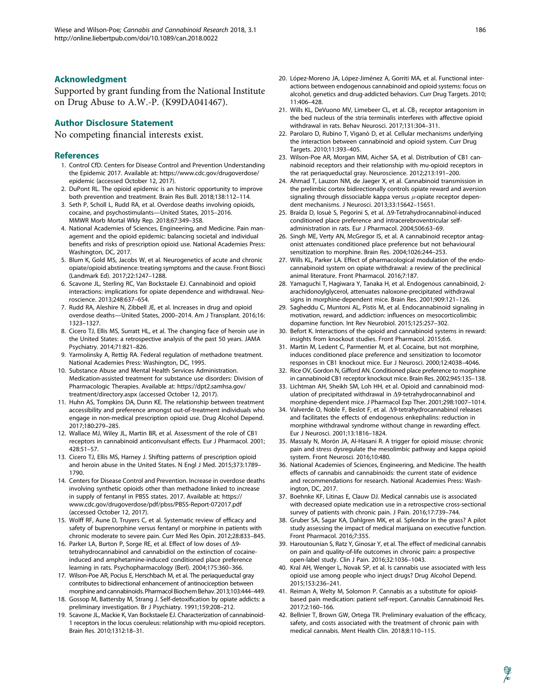#### Acknowledgment

Supported by grant funding from the National Institute on Drug Abuse to A.W.-P. (K99DA041467).

#### Author Disclosure Statement

No competing financial interests exist.

#### **References**

- 1. Control CfD. Centers for Disease Control and Prevention Understanding the Epidemic 2017. Available at: [https://www.cdc.gov/drugoverdose/](https://www.cdc.gov/drugoverdose/epidemic) [epidemic](https://www.cdc.gov/drugoverdose/epidemic) (accessed October 12, 2017).
- 2. DuPont RL. The opioid epidemic is an historic opportunity to improve both prevention and treatment. Brain Res Bull. 2018;138:112–114.
- 3. Seth P, Scholl L, Rudd RA, et al. Overdose deaths involving opioids, cocaine, and psychostimulants—United States, 2015–2016. MMWR Morb Mortal Wkly Rep. 2018;67:349–358.
- 4. National Academies of Sciences, Engineering, and Medicine. Pain management and the opioid epidemic: balancing societal and individual benefits and risks of prescription opioid use. National Academies Press: Washington, DC, 2017.
- 5. Blum K, Gold MS, Jacobs W, et al. Neurogenetics of acute and chronic opiate/opioid abstinence: treating symptoms and the cause. Front Biosci (Landmark Ed). 2017;22:1247–1288.
- 6. Scavone JL, Sterling RC, Van Bockstaele EJ. Cannabinoid and opioid interactions: implications for opiate dependence and withdrawal. Neuroscience. 2013;248:637–654.
- 7. Rudd RA, Aleshire N, Zibbell JE, et al. Increases in drug and opioid overdose deaths—United States, 2000–2014. Am J Transplant. 2016;16: 1323–1327.
- 8. Cicero TJ, Ellis MS, Surratt HL, et al. The changing face of heroin use in the United States: a retrospective analysis of the past 50 years. JAMA Psychiatry. 2014;71:821–826.
- 9. Yarmolinsky A, Rettig RA. Federal regulation of methadone treatment. National Academies Press: Washington, DC, 1995.
- 10. Substance Abuse and Mental Health Services Administration. Medication-assisted treatment for substance use disorders: Division of Pharmacologic Therapies. Available at: [https://dpt2.samhsa.gov/](https://dpt2.samhsa.gov/treatment/directory.aspx) [treatment/directory.aspx](https://dpt2.samhsa.gov/treatment/directory.aspx) (accessed October 12, 2017).
- 11. Huhn AS, Tompkins DA, Dunn KE. The relationship between treatment accessibility and preference amongst out-of-treatment individuals who engage in non-medical prescription opioid use. Drug Alcohol Depend. 2017;180:279–285.
- 12. Wallace MJ, Wiley JL, Martin BR, et al. Assessment of the role of CB1 receptors in cannabinoid anticonvulsant effects. Eur J Pharmacol. 2001; 428:51–57.
- 13. Cicero TJ, Ellis MS, Harney J. Shifting patterns of prescription opioid and heroin abuse in the United States. N Engl J Med. 2015;373:1789– 1790.
- 14. Centers for Disease Control and Prevention. Increase in overdose deaths involving synthetic opioids other than methadone linked to increase in supply of fentanyl in PBSS states. 2017. Available at: [https://](https://www.cdc.gov/drugoverdose/pdf/pbss/PBSS-Report-072017.pdf) [www.cdc.gov/drugoverdose/pdf/pbss/PBSS-Report-072017.pdf](https://www.cdc.gov/drugoverdose/pdf/pbss/PBSS-Report-072017.pdf) (accessed October 12, 2017).
- 15. Wolff RF, Aune D, Truyers C, et al. Systematic review of efficacy and safety of buprenorphine versus fentanyl or morphine in patients with chronic moderate to severe pain. Curr Med Res Opin. 2012;28:833–845.
- 16. Parker LA, Burton P, Sorge RE, et al. Effect of low doses of  $\Delta$ 9tetrahydrocannabinol and cannabidiol on the extinction of cocaineinduced and amphetamine-induced conditioned place preference learning in rats. Psychopharmacology (Berl). 2004;175:360–366.
- 17. Wilson-Poe AR, Pocius E, Herschbach M, et al. The periaqueductal gray contributes to bidirectional enhancement of antinociception between morphine and cannabinoids. Pharmacol Biochem Behav. 2013;103:444–449.
- 18. Gossop M, Battersby M, Strang J. Self-detoxification by opiate addicts: a preliminary investigation. Br J Psychiatry. 1991;159:208–212.
- 19. Scavone JL, Mackie K, Van Bockstaele EJ. Characterization of cannabinoid-1 receptors in the locus coeruleus: relationship with mu-opioid receptors. Brain Res. 2010;1312:18–31.
- 20. López-Moreno JA, López-Jiménez A, Gorriti MA, et al. Functional interactions between endogenous cannabinoid and opioid systems: focus on alcohol, genetics and drug-addicted behaviors. Curr Drug Targets. 2010; 11:406–428.
- 21. Wills KL, DeVuono MV, Limebeer CL, et al.  $CB_1$  receptor antagonism in the bed nucleus of the stria terminalis interferes with affective opioid withdrawal in rats. Behav Neurosci. 2017;131:304–311.
- 22. Parolaro D, Rubino T, Viganò D, et al. Cellular mechanisms underlying the interaction between cannabinoid and opioid system. Curr Drug Targets. 2010;11:393–405.
- 23. Wilson-Poe AR, Morgan MM, Aicher SA, et al. Distribution of CB1 cannabinoid receptors and their relationship with mu-opioid receptors in the rat periaqueductal gray. Neuroscience. 2012;213:191–200.
- 24. Ahmad T, Lauzon NM, de Jaeger X, et al. Cannabinoid transmission in the prelimbic cortex bidirectionally controls opiate reward and aversion signaling through dissociable kappa versus  $\mu$ -opiate receptor dependent mechanisms. J Neurosci. 2013;33:15642–15651.
- 25. Braida D, Iosuè S, Pegorini S, et al.  $\Delta$ 9-Tetrahydrocannabinol-induced conditioned place preference and intracerebroventricular selfadministration in rats. Eur J Pharmacol. 2004;506:63–69.
- 26. Singh ME, Verty AN, McGregor IS, et al. A cannabinoid receptor antagonist attenuates conditioned place preference but not behavioural sensitization to morphine. Brain Res. 2004;1026:244–253.
- 27. Wills KL, Parker LA. Effect of pharmacological modulation of the endocannabinoid system on opiate withdrawal: a review of the preclinical animal literature. Front Pharmacol. 2016;7:187.
- 28. Yamaguchi T, Hagiwara Y, Tanaka H, et al. Endogenous cannabinoid, 2 arachidonoylglycerol, attenuates naloxone-precipitated withdrawal signs in morphine-dependent mice. Brain Res. 2001;909:121–126.
- 29. Sagheddu C, Muntoni AL, Pistis M, et al. Endocannabinoid signaling in motivation, reward, and addiction: influences on mesocorticolimbic dopamine function. Int Rev Neurobiol. 2015;125:257–302.
- 30. Befort K. Interactions of the opioid and cannabinoid systems in reward: insights from knockout studies. Front Pharmacol. 2015;6:6.
- 31. Martin M, Ledent C, Parmentier M, et al. Cocaine, but not morphine, induces conditioned place preference and sensitization to locomotor responses in CB1 knockout mice. Eur J Neurosci. 2000;12:4038–4046.
- 32. Rice OV, Gordon N, Gifford AN. Conditioned place preference to morphine in cannabinoid CB1 receptor knockout mice. Brain Res. 2002;945:135–138.
- 33. Lichtman AH, Sheikh SM, Loh HH, et al. Opioid and cannabinoid modulation of precipitated withdrawal in  $\Delta$ 9-tetrahydrocannabinol and morphine-dependent mice. J Pharmacol Exp Ther. 2001;298:1007–1014.
- 34. Valverde O, Noble F, Beslot F, et al. D9-tetrahydrocannabinol releases and facilitates the effects of endogenous enkephalins: reduction in morphine withdrawal syndrome without change in rewarding effect. Eur J Neurosci. 2001;13:1816–1824.
- 35. Massaly N, Morón JA, Al-Hasani R. A trigger for opioid misuse: chronic pain and stress dysregulate the mesolimbic pathway and kappa opioid system. Front Neurosci. 2016;10:480.
- 36. National Academies of Sciences, Engineering, and Medicine. The health effects of cannabis and cannabinoids: the current state of evidence and recommendations for research. National Academies Press: Washington, DC, 2017.
- 37. Boehnke KF, Litinas E, Clauw DJ. Medical cannabis use is associated with decreased opiate medication use in a retrospective cross-sectional survey of patients with chronic pain. J Pain. 2016;17:739–744.
- 38. Gruber SA, Sagar KA, Dahlgren MK, et al. Splendor in the grass? A pilot study assessing the impact of medical marijuana on executive function. Front Pharmacol. 2016;7:355.
- 39. Haroutounian S, Ratz Y, Ginosar Y, et al. The effect of medicinal cannabis on pain and quality-of-life outcomes in chronic pain: a prospective open-label study. Clin J Pain. 2016;32:1036–1043.
- 40. Kral AH, Wenger L, Novak SP, et al. Is cannabis use associated with less opioid use among people who inject drugs? Drug Alcohol Depend. 2015;153:236–241.
- 41. Reiman A, Welty M, Solomon P. Cannabis as a substitute for opioidbased pain medication: patient self-report. Cannabis Cannabinoid Res. 2017;2:160–166.
- 42. Bellnier T, Brown GW, Ortega TR. Preliminary evaluation of the efficacy, safety, and costs associated with the treatment of chronic pain with medical cannabis. Ment Health Clin. 2018;8:110–115.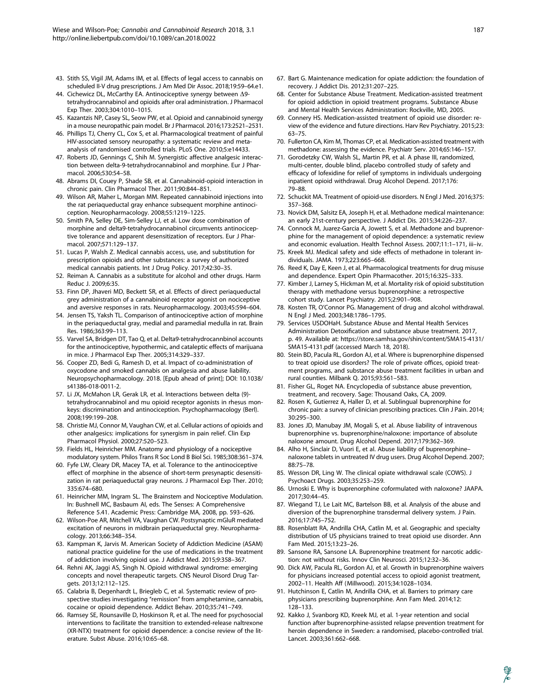- 43. Stith SS, Vigil JM, Adams IM, et al. Effects of legal access to cannabis on scheduled II-V drug prescriptions. J Am Med Dir Assoc. 2018;19:59–64.e1.
- 44. Cichewicz DL, McCarthy EA. Antinociceptive synergy between  $\Delta$ 9tetrahydrocannabinol and opioids after oral administration. J Pharmacol Exp Ther. 2003;304:1010–1015.
- 45. Kazantzis NP, Casey SL, Seow PW, et al. Opioid and cannabinoid synergy in a mouse neuropathic pain model. Br J Pharmacol. 2016;173:2521–2531.
- 46. Phillips TJ, Cherry CL, Cox S, et al. Pharmacological treatment of painful HIV-associated sensory neuropathy: a systematic review and metaanalysis of randomised controlled trials. PLoS One. 2010;5:e14433.
- 47. Roberts JD, Gennings C, Shih M. Synergistic affective analgesic interaction between delta-9-tetrahydrocannabinol and morphine. Eur J Pharmacol. 2006;530:54–58.
- 48. Abrams DI, Couey P, Shade SB, et al. Cannabinoid-opioid interaction in chronic pain. Clin Pharmacol Ther. 2011;90:844–851.
- 49. Wilson AR, Maher L, Morgan MM. Repeated cannabinoid injections into the rat periaqueductal gray enhance subsequent morphine antinociception. Neuropharmacology. 2008;55:1219–1225.
- 50. Smith PA, Selley DE, Sim-Selley LJ, et al. Low dose combination of morphine and delta9-tetrahydrocannabinol circumvents antinociceptive tolerance and apparent desensitization of receptors. Eur J Pharmacol. 2007;571:129–137.
- 51. Lucas P, Walsh Z. Medical cannabis access, use, and substitution for prescription opioids and other substances: a survey of authorized medical cannabis patients. Int J Drug Policy. 2017;42:30–35.
- 52. Reiman A. Cannabis as a substitute for alcohol and other drugs. Harm Reduc J. 2009;6:35.
- 53. Finn DP, Jhaveri MD, Beckett SR, et al. Effects of direct periaqueductal grey administration of a cannabinoid receptor agonist on nociceptive and aversive responses in rats. Neuropharmacology. 2003;45:594–604.
- 54. Jensen TS, Yaksh TL. Comparison of antinociceptive action of morphine in the periaqueductal gray, medial and paramedial medulla in rat. Brain Res. 1986;363:99–113.
- 55. Varvel SA, Bridgen DT, Tao Q, et al. Delta9-tetrahydrocannbinol accounts for the antinociceptive, hypothermic, and cataleptic effects of marijuana in mice. J Pharmacol Exp Ther. 2005;314:329–337.
- 56. Cooper ZD, Bedi G, Ramesh D, et al. Impact of co-administration of oxycodone and smoked cannabis on analgesia and abuse liability. Neuropsychopharmacology. 2018. [Epub ahead of print]; DOI: 10.1038/ s41386-018-0011-2.
- 57. Li JX, McMahon LR, Gerak LR, et al. Interactions between delta (9) tetrahydrocannabinol and mu opioid receptor agonists in rhesus monkeys: discrimination and antinociception. Psychopharmacology (Berl). 2008;199:199–208.
- 58. Christie MJ, Connor M, Vaughan CW, et al. Cellular actions of opioids and other analgesics: implications for synergism in pain relief. Clin Exp Pharmacol Physiol. 2000;27:520–523.
- 59. Fields HL, Heinricher MM. Anatomy and physiology of a nociceptive modulatory system. Philos Trans R Soc Lond B Biol Sci. 1985;308:361–374.
- 60. Fyfe LW, Cleary DR, Macey TA, et al. Tolerance to the antinociceptive effect of morphine in the absence of short-term presynaptic desensitization in rat periaqueductal gray neurons. J Pharmacol Exp Ther. 2010; 335:674–680.
- 61. Heinricher MM, Ingram SL. The Brainstem and Nociceptive Modulation. In: Bushnell MC, Basbaum AI, eds. The Senses: A Comprehensive Reference 5.41. Academic Press: Cambridge MA, 2008, pp. 593–626.
- 62. Wilson-Poe AR, Mitchell VA, Vaughan CW. Postsynaptic mGluR mediated excitation of neurons in midbrain periaqueductal grey. Neuropharmacology. 2013;66:348–354.
- 63. Kampman K, Jarvis M. American Society of Addiction Medicine (ASAM) national practice guideline for the use of medications in the treatment of addiction involving opioid use. J Addict Med. 2015;9:358–367.
- 64. Rehni AK, Jaggi AS, Singh N. Opioid withdrawal syndrome: emerging concepts and novel therapeutic targets. CNS Neurol Disord Drug Targets. 2013;12:112–125.
- 65. Calabria B, Degenhardt L, Briegleb C, et al. Systematic review of prospective studies investigating "remission" from amphetamine, cannabis, cocaine or opioid dependence. Addict Behav. 2010;35:741–749.
- 66. Ramsey SE, Rounsaville D, Hoskinson R, et al. The need for psychosocial interventions to facilitate the transition to extended-release naltrexone (XR-NTX) treatment for opioid dependence: a concise review of the literature. Subst Abuse. 2016;10:65–68.
- 67. Bart G. Maintenance medication for opiate addiction: the foundation of recovery. J Addict Dis. 2012;31:207–225.
- 68. Center for Substance Abuse Treatment. Medication-assisted treatment for opioid addiction in opioid treatment programs. Substance Abuse and Mental Health Services Administration: Rockville, MD, 2005.
- 69. Connery HS. Medication-assisted treatment of opioid use disorder: review of the evidence and future directions. Harv Rev Psychiatry. 2015;23: 63–75.
- 70. Fullerton CA, Kim M, Thomas CP, et al. Medication-assisted treatment with methadone: assessing the evidence. Psychiatr Serv. 2014;65:146–157.
- 71. Gorodetzky CW, Walsh SL, Martin PR, et al. A phase III, randomized, multi-center, double blind, placebo controlled study of safety and efficacy of lofexidine for relief of symptoms in individuals undergoing inpatient opioid withdrawal. Drug Alcohol Depend. 2017;176: 79–88.
- 72. Schuckit MA. Treatment of opioid-use disorders. N Engl J Med. 2016;375: 357–368.
- 73. Novick DM, Salsitz EA, Joseph H, et al. Methadone medical maintenance: an early 21st-century perspective. J Addict Dis. 2015;34:226–237.
- 74. Connock M, Juarez-Garcia A, Jowett S, et al. Methadone and buprenorphine for the management of opioid dependence: a systematic review and economic evaluation. Health Technol Assess. 2007;11:1–171, iii–iv.
- 75. Kreek MJ. Medical safety and side effects of methadone in tolerant individuals. JAMA. 1973;223:665–668.
- 76. Reed K, Day E, Keen J, et al. Pharmacological treatments for drug misuse and dependence. Expert Opin Pharmacother. 2015;16:325–333.
- 77. Kimber J, Larney S, Hickman M, et al. Mortality risk of opioid substitution therapy with methadone versus buprenorphine: a retrospective cohort study. Lancet Psychiatry. 2015;2:901–908.
- 78. Kosten TR, O'Connor PG. Management of drug and alcohol withdrawal. N Engl J Med. 2003;348:1786–1795.
- 79. Services USDOHaH. Substance Abuse and Mental Health Services Administration Detoxification and substance abuse treatment. 2017, p. 49. Available at: [https://store.samhsa.gov/shin/content/SMA15-4131/](https://store.samhsa.gov/shin/content/SMA15-4131/SMA15-4131.pdf) [SMA15-4131.pdf](https://store.samhsa.gov/shin/content/SMA15-4131/SMA15-4131.pdf) (accessed March 18, 2018).
- 80. Stein BD, Pacula RL, Gordon AJ, et al. Where is buprenorphine dispensed to treat opioid use disorders? The role of private offices, opioid treatment programs, and substance abuse treatment facilities in urban and rural counties. Milbank Q. 2015;93:561–583.
- 81. Fisher GL, Roget NA. Encyclopedia of substance abuse prevention, treatment, and recovery. Sage: Thousand Oaks, CA, 2009.
- 82. Rosen K, Gutierrez A, Haller D, et al. Sublingual buprenorphine for chronic pain: a survey of clinician prescribing practices. Clin J Pain. 2014; 30:295–300.
- 83. Jones JD, Manubay JM, Mogali S, et al. Abuse liability of intravenous buprenorphine vs. buprenorphine/naloxone: importance of absolute naloxone amount. Drug Alcohol Depend. 2017;179:362–369.
- 84. Alho H, Sinclair D, Vuori E, et al. Abuse liability of buprenorphine– naloxone tablets in untreated IV drug users. Drug Alcohol Depend. 2007; 88:75–78.
- 85. Wesson DR, Ling W. The clinical opiate withdrawal scale (COWS). J Psychoact Drugs. 2003;35:253–259.
- 86. Urnoski E. Why is buprenorphine coformulated with naloxone? JAAPA. 2017;30:44–45.
- 87. Wiegand TJ, Le Lait MC, Bartelson BB, et al. Analysis of the abuse and diversion of the buprenorphine transdermal delivery system. J Pain. 2016;17:745–752.
- 88. Rosenblatt RA, Andrilla CHA, Catlin M, et al. Geographic and specialty distribution of US physicians trained to treat opioid use disorder. Ann Fam Med. 2015;13:23–26.
- 89. Sansone RA, Sansone LA. Buprenorphine treatment for narcotic addiction: not without risks. Innov Clin Neurosci. 2015;12:32–36.
- 90. Dick AW, Pacula RL, Gordon AJ, et al. Growth in buprenorphine waivers for physicians increased potential access to opioid agonist treatment, 2002–11. Health Aff (Millwood). 2015;34:1028–1034.
- 91. Hutchinson E, Catlin M, Andrilla CHA, et al. Barriers to primary care physicians prescribing buprenorphine. Ann Fam Med. 2014;12: 128–133.
- 92. Kakko J, Svanborg KD, Kreek MJ, et al. 1-year retention and social function after buprenorphine-assisted relapse prevention treatment for heroin dependence in Sweden: a randomised, placebo-controlled trial. Lancet. 2003;361:662–668.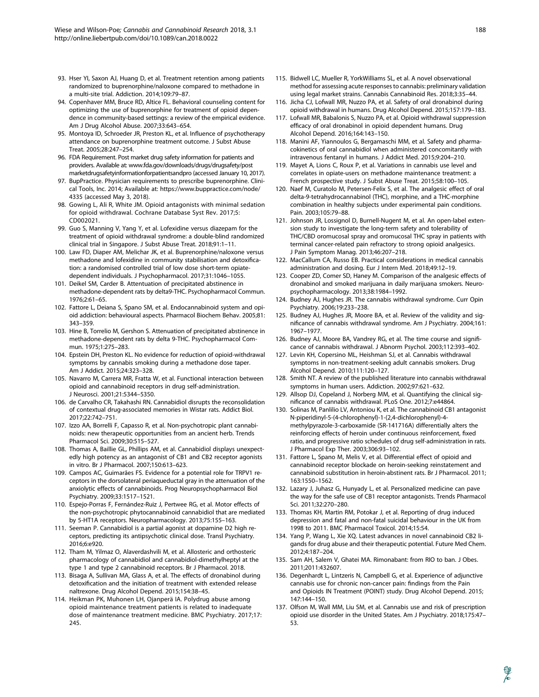- 93. Hser YI, Saxon AJ, Huang D, et al. Treatment retention among patients randomized to buprenorphine/naloxone compared to methadone in a multi-site trial. Addiction. 2014;109:79–87.
- 94. Copenhaver MM, Bruce RD, Altice FL. Behavioral counseling content for optimizing the use of buprenorphine for treatment of opioid dependence in community-based settings: a review of the empirical evidence. Am J Drug Alcohol Abuse. 2007;33:643–654.
- 95. Montoya ID, Schroeder JR, Preston KL, et al. Influence of psychotherapy attendance on buprenorphine treatment outcome. J Subst Abuse Treat. 2005;28:247–254.
- 96. FDA Requirement. Post market drug safety information for patients and providers. Available at: [www.fda.gov/downloads/drugs/drugsafety/post](www.fda.gov/downloads/drugs/drugsafety/postmarketdrugsafetyinformationforpatientsandpro) [marketdrugsafetyinformationforpatientsandpro](www.fda.gov/downloads/drugs/drugsafety/postmarketdrugsafetyinformationforpatientsandpro) (accessed January 10, 2017).
- 97. BupPractice. Physician requirements to prescribe buprenorphine. Clinical Tools, Inc. 2014; Available at: [https://www.buppractice.com/node/](https://www.buppractice.com/node/4335) [4335](https://www.buppractice.com/node/4335) (accessed May 3, 2018).
- 98. Gowing L, Ali R, White JM. Opioid antagonists with minimal sedation for opioid withdrawal. Cochrane Database Syst Rev. 2017;5: CD002021.
- 99. Guo S, Manning V, Yang Y, et al. Lofexidine versus diazepam for the treatment of opioid withdrawal syndrome: a double-blind randomized clinical trial in Singapore. J Subst Abuse Treat. 2018;91:1–11.
- 100. Law FD, Diaper AM, Melichar JK, et al. Buprenorphine/naloxone versus methadone and lofexidine in community stabilisation and detoxification: a randomised controlled trial of low dose short-term opiatedependent individuals. J Psychopharmacol. 2017;31:1046–1055.
- 101. Deikel SM, Carder B. Attentuation of precipitated abstinence in methadone-dependent rats by delta9-THC. Psychopharmacol Commun. 1976;2:61–65.
- 102. Fattore L, Deiana S, Spano SM, et al. Endocannabinoid system and opioid addiction: behavioural aspects. Pharmacol Biochem Behav. 2005;81: 343–359.
- 103. Hine B, Torrelio M, Gershon S. Attenuation of precipitated abstinence in methadone-dependent rats by delta 9-THC. Psychopharmacol Commun. 1975;1:275–283.
- 104. Epstein DH, Preston KL. No evidence for reduction of opioid-withdrawal symptoms by cannabis smoking during a methadone dose taper. Am J Addict. 2015;24:323–328.
- 105. Navarro M, Carrera MR, Fratta W, et al. Functional interaction between opioid and cannabinoid receptors in drug self-administration. J Neurosci. 2001;21:5344–5350.
- 106. de Carvalho CR, Takahashi RN. Cannabidiol disrupts the reconsolidation of contextual drug-associated memories in Wistar rats. Addict Biol. 2017;22:742–751.
- 107. Izzo AA, Borrelli F, Capasso R, et al. Non-psychotropic plant cannabinoids: new therapeutic opportunities from an ancient herb. Trends Pharmacol Sci. 2009;30:515–527.
- 108. Thomas A, Baillie GL, Phillips AM, et al. Cannabidiol displays unexpectedly high potency as an antagonist of CB1 and CB2 receptor agonists in vitro. Br J Pharmacol. 2007;150:613–623.
- 109. Campos AC, Guimarães FS. Evidence for a potential role for TRPV1 receptors in the dorsolateral periaqueductal gray in the attenuation of the anxiolytic effects of cannabinoids. Prog Neuropsychopharmacol Biol Psychiatry. 2009;33:1517–1521.
- 110. Espejo-Porras F, Fernández-Ruiz J, Pertwee RG, et al. Motor effects of the non-psychotropic phytocannabinoid cannabidiol that are mediated by 5-HT1A receptors. Neuropharmacology. 2013;75:155–163.
- 111. Seeman P. Cannabidiol is a partial agonist at dopamine D2 high receptors, predicting its antipsychotic clinical dose. Transl Psychiatry. 2016;6:e920.
- 112. Tham M, Yilmaz O, Alaverdashvili M, et al. Allosteric and orthosteric pharmacology of cannabidiol and cannabidiol-dimethylheptyl at the type 1 and type 2 cannabinoid receptors. Br J Pharmacol. 2018.
- 113. Bisaga A, Sullivan MA, Glass A, et al. The effects of dronabinol during detoxification and the initiation of treatment with extended release naltrexone. Drug Alcohol Depend. 2015;154:38–45.
- 114. Heikman PK, Muhonen LH, Ojanperä IA. Polydrug abuse among opioid maintenance treatment patients is related to inadequate dose of maintenance treatment medicine. BMC Psychiatry. 2017;17: 245.
- 115. Bidwell LC, Mueller R, YorkWilliams SL, et al. A novel observational method for assessing acute responses to cannabis: preliminary validation using legal market strains. Cannabis Cannabinoid Res. 2018;3:35–44.
- 116. Jicha CJ, Lofwall MR, Nuzzo PA, et al. Safety of oral dronabinol during opioid withdrawal in humans. Drug Alcohol Depend. 2015;157:179–183.
- 117. Lofwall MR, Babalonis S, Nuzzo PA, et al. Opioid withdrawal suppression efficacy of oral dronabinol in opioid dependent humans. Drug Alcohol Depend. 2016;164:143–150.
- 118. Manini AF, Yiannoulos G, Bergamaschi MM, et al. Safety and pharmacokinetics of oral cannabidiol when administered concomitantly with intravenous fentanyl in humans. J Addict Med. 2015;9:204–210.
- 119. Mayet A, Lions C, Roux P, et al. Variations in cannabis use level and correlates in opiate-users on methadone maintenance treatment: a French prospective study. J Subst Abuse Treat. 2015;58:100–105.
- 120. Naef M, Curatolo M, Petersen-Felix S, et al. The analgesic effect of oral delta-9-tetrahydrocannabinol (THC), morphine, and a THC-morphine combination in healthy subjects under experimental pain conditions. Pain. 2003;105:79–88.
- 121. Johnson JR, Lossignol D, Burnell-Nugent M, et al. An open-label extension study to investigate the long-term safety and tolerability of THC/CBD oromucosal spray and oromucosal THC spray in patients with terminal cancer-related pain refractory to strong opioid analgesics. J Pain Symptom Manag. 2013;46:207–218.
- 122. MacCallum CA, Russo EB. Practical considerations in medical cannabis administration and dosing. Eur J Intern Med. 2018;49:12–19.
- 123. Cooper ZD, Comer SD, Haney M. Comparison of the analgesic effects of dronabinol and smoked marijuana in daily marijuana smokers. Neuropsychopharmacology. 2013;38:1984–1992.
- 124. Budney AJ, Hughes JR. The cannabis withdrawal syndrome. Curr Opin Psychiatry. 2006;19:233–238.
- 125. Budney AJ, Hughes JR, Moore BA, et al. Review of the validity and significance of cannabis withdrawal syndrome. Am J Psychiatry. 2004;161: 1967–1977.
- 126. Budney AJ, Moore BA, Vandrey RG, et al. The time course and significance of cannabis withdrawal. J Abnorm Psychol. 2003;112:393–402.
- 127. Levin KH, Copersino ML, Heishman SJ, et al. Cannabis withdrawal symptoms in non-treatment-seeking adult cannabis smokers. Drug Alcohol Depend. 2010;111:120–127.
- 128. Smith NT. A review of the published literature into cannabis withdrawal symptoms in human users. Addiction. 2002;97:621–632.
- 129. Allsop DJ, Copeland J, Norberg MM, et al. Quantifying the clinical significance of cannabis withdrawal. PLoS One. 2012;7:e44864.
- 130. Solinas M, Panlilio LV, Antoniou K, et al. The cannabinoid CB1 antagonist N-piperidinyl-5-(4-chlorophenyl)-1-(2,4-dichlorophenyl)-4 methylpyrazole-3-carboxamide (SR-141716A) differentially alters the reinforcing effects of heroin under continuous reinforcement, fixed ratio, and progressive ratio schedules of drug self-administration in rats. J Pharmacol Exp Ther. 2003;306:93–102.
- 131. Fattore L, Spano M, Melis V, et al. Differential effect of opioid and cannabinoid receptor blockade on heroin-seeking reinstatement and cannabinoid substitution in heroin-abstinent rats. Br J Pharmacol. 2011; 163:1550–1562.
- 132. Lazary J, Juhasz G, Hunyady L, et al. Personalized medicine can pave the way for the safe use of CB1 receptor antagonists. Trends Pharmacol Sci. 2011;32:270–280.
- 133. Thomas KH, Martin RM, Potokar J, et al. Reporting of drug induced depression and fatal and non-fatal suicidal behaviour in the UK from 1998 to 2011. BMC Pharmacol Toxicol. 2014;15:54.
- 134. Yang P, Wang L, Xie XQ. Latest advances in novel cannabinoid CB2 ligands for drug abuse and their therapeutic potential. Future Med Chem. 2012;4:187–204.
- 135. Sam AH, Salem V, Ghatei MA. Rimonabant: from RIO to ban. J Obes. 2011;2011:432607.
- 136. Degenhardt L, Lintzeris N, Campbell G, et al. Experience of adjunctive cannabis use for chronic non-cancer pain: findings from the Pain and Opioids IN Treatment (POINT) study. Drug Alcohol Depend. 2015; 147:144–150.
- 137. Olfson M, Wall MM, Liu SM, et al. Cannabis use and risk of prescription opioid use disorder in the United States. Am J Psychiatry. 2018;175:47– 53.